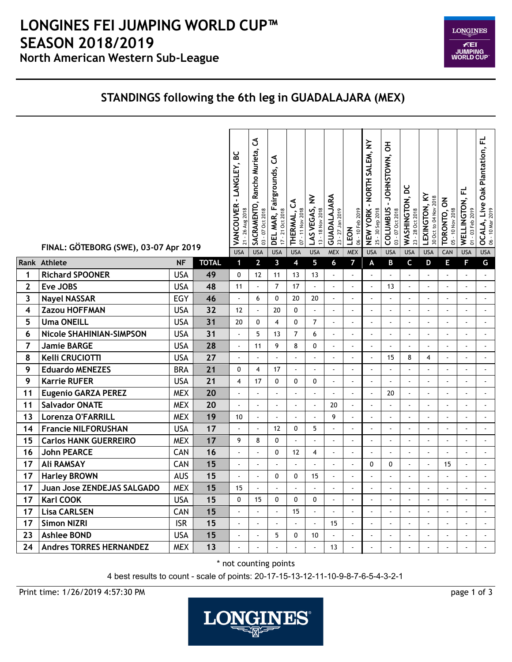

## **STANDINGS following the 6th leg in GUADALAJARA (MEX)**

|                         | FINAL: GÖTEBORG (SWE), 03-07 Apr 2019 |            |              | VANCOUVER - LANGLEY, BC<br>21 - 26 Aug 2018 | ვ<br>Rancho Murieta,<br>SACRAMENTO,<br>03 - 07 Oct 2018 | ჯ<br>DEL MAR, Fairgrounds,<br>17 - 21 Oct 2018 | ქ<br>07 - 11 Nov 2018<br>THERMAL, | LAS VEGAS, NV<br>13 - 18 Nov 2018 | GUADALAJARA<br>23 - 27 Jan 2019 | 06 - 10 Feb 2019<br>LEON | NEW YORK - NORTH SALEM, NY<br>25 - 30 Sep 2018 | COLUMBUS - JOHNSTOWN, OH<br>03 - 07 Oct 2018 | WASHINGTON, DC<br>23 - 28 Oct 2018 | LEXINGTON, KY<br>30 Oct to 04 Nov 2018 | TORONTO, ON<br>05 - 10 Nov 2018 | WELLINGTON, FL<br>01 - 03 Feb 2019 | 군<br>Oak Plantation,<br><b>OCALA, Live C</b><br>06 - 10 Mar 2019 |
|-------------------------|---------------------------------------|------------|--------------|---------------------------------------------|---------------------------------------------------------|------------------------------------------------|-----------------------------------|-----------------------------------|---------------------------------|--------------------------|------------------------------------------------|----------------------------------------------|------------------------------------|----------------------------------------|---------------------------------|------------------------------------|------------------------------------------------------------------|
|                         | Rank Athlete                          | <b>NF</b>  | <b>TOTAL</b> | <b>USA</b><br>1                             | <b>USA</b><br>$\overline{2}$                            | <b>USA</b><br>3                                | <b>USA</b><br>4                   | <b>USA</b><br>5                   | <b>MEX</b><br>6                 | <b>MEX</b><br>7          | <b>USA</b><br>A                                | <b>USA</b><br>B                              | <b>USA</b><br>C                    | <b>USA</b><br>D                        | CAN<br>Е                        | <b>USA</b><br>F                    | <b>USA</b><br>G                                                  |
| 1                       | <b>Richard SPOONER</b>                | <b>USA</b> | 49           | $\mathbf{0}$                                | 12                                                      | 11                                             | 13                                | 13                                | $\blacksquare$                  | $\blacksquare$           | $\ddot{\phantom{a}}$                           | $\mathbb{Z}$                                 | t,                                 | $\blacksquare$                         | $\blacksquare$                  | $\blacksquare$                     | $\omega$                                                         |
| $\overline{2}$          | Eve JOBS                              | <b>USA</b> | 48           | 11                                          | $\overline{\phantom{a}}$                                | $\overline{7}$                                 | 17                                | $\mathcal{L}$                     | $\overline{a}$                  | $\overline{a}$           | $\overline{a}$                                 | 13                                           | $\overline{\phantom{a}}$           | $\blacksquare$                         | $\overline{a}$                  | $\blacksquare$                     | $\blacksquare$                                                   |
| $\overline{\mathbf{3}}$ | <b>Nayel NASSAR</b>                   | EGY        | 46           | $\mathbf{r}$                                | 6                                                       | $\mathbf{0}$                                   | 20                                | 20                                | ÷,                              | $\blacksquare$           |                                                | $\mathbf{r}$                                 | $\overline{a}$                     | $\blacksquare$                         | $\overline{a}$                  | $\overline{a}$                     | $\mathbf{r}$                                                     |
| 4                       | Zazou HOFFMAN                         | <b>USA</b> | 32           | 12                                          | ÷,                                                      | 20                                             | $\mathbf{0}$                      | L.                                | ÷,                              | ÷,                       |                                                | $\mathbf{r}$                                 |                                    | $\blacksquare$                         |                                 |                                    | $\blacksquare$                                                   |
| 5                       | <b>Uma ONEILL</b>                     | <b>USA</b> | 31           | 20                                          | $\Omega$                                                | $\overline{\mathbf{4}}$                        | $\mathbf{0}$                      | $\overline{7}$                    | L.                              | $\mathbf{r}$             |                                                | $\mathbf{r}$                                 | ÷,                                 | $\mathbf{r}$                           |                                 |                                    | $\mathbf{r}$                                                     |
| 6                       | Nicole SHAHINIAN-SIMPSON              | <b>USA</b> | 31           |                                             | 5                                                       | 13                                             | $\overline{7}$                    | 6                                 | ÷,                              | $\overline{a}$           | $\overline{a}$                                 | $\overline{a}$                               | $\ddot{\phantom{a}}$               | $\blacksquare$                         |                                 | $\ddot{\phantom{a}}$               | $\blacksquare$                                                   |
| $\overline{7}$          | <b>Jamie BARGE</b>                    | <b>USA</b> | 28           |                                             | 11                                                      | 9                                              | 8                                 | $\mathbf{0}$                      | $\overline{a}$                  | ä,                       | $\ddot{\phantom{0}}$                           | ÷,                                           | $\ddot{\phantom{a}}$               |                                        |                                 |                                    | $\overline{\phantom{a}}$                                         |
| 8                       | Kelli CRUCIOTTI                       | <b>USA</b> | 27           | $\overline{\phantom{a}}$                    |                                                         | $\overline{a}$                                 |                                   |                                   | $\ddot{\phantom{a}}$            | $\blacksquare$           |                                                | 15                                           | 8                                  | $\overline{4}$                         | $\blacksquare$                  | ÷,                                 | $\blacksquare$                                                   |
| 9                       | <b>Eduardo MENEZES</b>                | <b>BRA</b> | 21           | $\mathbf{0}$                                | 4                                                       | 17                                             | $\tilde{\phantom{a}}$             | $\ddot{\phantom{a}}$              | ÷,                              | $\tilde{\phantom{a}}$    | ä,                                             | $\blacksquare$                               | ÷,                                 | $\blacksquare$                         | ä,                              | $\blacksquare$                     | $\blacksquare$                                                   |
| 9                       | <b>Karrie RUFER</b>                   | <b>USA</b> | 21           | $\overline{\mathbf{4}}$                     | 17                                                      | $\mathbf{0}$                                   | $\mathbf{0}$                      | $\mathbf{0}$                      | L.                              | $\mathbf{r}$             | ä,                                             | $\blacksquare$                               | $\mathbf{r}$                       | $\sim$                                 | ä,                              | ä,                                 | $\blacksquare$                                                   |
| 11                      | <b>Eugenio GARZA PEREZ</b>            | <b>MEX</b> | 20           | $\overline{a}$                              | $\mathbf{r}$                                            | $\overline{a}$                                 |                                   | $\overline{a}$                    | $\overline{a}$                  | $\blacksquare$           | $\overline{a}$                                 | 20                                           | $\overline{\phantom{a}}$           | $\blacksquare$                         | ä,                              | $\blacksquare$                     | $\blacksquare$                                                   |
| 11                      | <b>Salvador ONATE</b>                 | <b>MEX</b> | 20           | $\overline{a}$                              | ä,                                                      | $\ddot{\phantom{a}}$                           |                                   | $\overline{a}$                    | 20                              | ä,                       | $\overline{a}$                                 | $\overline{\phantom{a}}$                     | $\ddot{\phantom{a}}$               | $\blacksquare$                         | ä,                              | ÷,                                 | $\omega$                                                         |
| 13                      | Lorenza O'FARRILL                     | <b>MEX</b> | 19           | 10                                          | $\tilde{\phantom{a}}$                                   | $\blacksquare$                                 |                                   | $\overline{a}$                    | 9                               | $\blacksquare$           | ÷,                                             | ä,                                           | $\mathbf{r}$                       | $\sim$                                 | $\overline{a}$                  | ÷,                                 | $\blacksquare$                                                   |
| 14                      | <b>Francie NILFORUSHAN</b>            | <b>USA</b> | 17           |                                             |                                                         | 12                                             | $\mathbf{0}$                      | 5                                 | $\overline{a}$                  | $\blacksquare$           | $\overline{a}$                                 | ä,                                           |                                    | $\sim$                                 | $\overline{a}$                  | $\overline{\phantom{a}}$           | $\blacksquare$                                                   |
| 15                      | <b>Carlos HANK GUERREIRO</b>          | <b>MEX</b> | 17           | 9                                           | 8                                                       | $\mathbf{0}$                                   |                                   | $\overline{a}$                    | L.                              | $\blacksquare$           |                                                | $\blacksquare$                               | L.                                 | $\mathbf{r}$                           |                                 | ä,                                 | $\blacksquare$                                                   |
| 16                      | <b>John PEARCE</b>                    | CAN        | 16           |                                             |                                                         | $\mathbf{0}$                                   | 12                                | $\overline{4}$                    | ä,                              | ä,                       | $\ddot{\phantom{a}}$                           | $\overline{\phantom{a}}$                     | $\overline{\phantom{a}}$           | $\blacksquare$                         | $\overline{a}$                  | $\overline{a}$                     | $\blacksquare$                                                   |
| 17                      | <b>Ali RAMSAY</b>                     | CAN        | 15           | L.                                          | l,                                                      | t,                                             |                                   | $\overline{a}$                    | $\overline{a}$                  | $\overline{\phantom{a}}$ | $\mathbf{0}$                                   | $\mathbf{0}$                                 | $\overline{\phantom{a}}$           | ä,                                     | 15                              | $\overline{\phantom{a}}$           | $\overline{\phantom{a}}$                                         |
| 17                      | <b>Harley BROWN</b>                   | <b>AUS</b> | 15           | ä,                                          | $\blacksquare$                                          | $\mathbf{0}$                                   | $\mathbf{0}$                      | 15                                | $\blacksquare$                  | $\blacksquare$           | ÷,                                             | $\Box$                                       | $\blacksquare$                     | $\blacksquare$                         | ÷,                              | $\overline{\phantom{a}}$           | $\Box$                                                           |
| 17                      | Juan Jose ZENDEJAS SALGADO            | <b>MEX</b> | 15           | 15                                          | $\sim$                                                  | $\ddot{\phantom{a}}$                           | $\tilde{\phantom{a}}$             | $\ddot{\phantom{a}}$              | ÷,                              | $\overline{\phantom{a}}$ | ä,                                             | $\blacksquare$                               | $\blacksquare$                     | $\blacksquare$                         | $\overline{a}$                  | $\blacksquare$                     | $\blacksquare$                                                   |
| 17                      | <b>Karl COOK</b>                      | <b>USA</b> | 15           | $\mathbf{0}$                                | 15                                                      | $\mathbf{0}$                                   | $\mathbf{0}$                      | $\mathbf{0}$                      | $\sim$                          | $\mathbf{r}$             | $\overline{a}$                                 | $\overline{a}$                               | $\sim$                             | $\sim$                                 | ä,                              | ä,                                 | $\mathbf{r}$                                                     |
| 17                      | <b>Lisa CARLSEN</b>                   | CAN        | 15           | $\overline{a}$                              | $\sim$                                                  | $\blacksquare$                                 | 15                                | $\blacksquare$                    | $\blacksquare$                  | $\overline{a}$           | $\ddot{\phantom{a}}$                           | $\overline{a}$                               | $\overline{\phantom{a}}$           | $\blacksquare$                         | $\blacksquare$                  | $\blacksquare$                     | $\blacksquare$                                                   |
| 17                      | <b>Simon NIZRI</b>                    | <b>ISR</b> | 15           | $\overline{a}$                              | $\overline{a}$                                          | $\overline{a}$                                 | $\overline{a}$                    | $\overline{\phantom{a}}$          | 15                              | $\blacksquare$           | ÷.                                             | $\ddot{\phantom{a}}$                         | $\overline{a}$                     | $\overline{a}$                         | ÷.                              | $\overline{a}$                     | $\mathbf{r}$                                                     |
| 23                      | <b>Ashlee BOND</b>                    | <b>USA</b> | 15           | $\blacksquare$                              | ÷,                                                      | 5                                              | $\mathbf{0}$                      | 10                                | $\overline{\phantom{a}}$        | ÷,                       |                                                | $\overline{\phantom{a}}$                     | $\overline{a}$                     | $\overline{a}$                         | $\overline{a}$                  | $\overline{a}$                     | ä,                                                               |
| 24                      | <b>Andres TORRES HERNANDEZ</b>        | <b>MEX</b> | 13           |                                             |                                                         |                                                |                                   |                                   | 13                              | $\overline{a}$           |                                                |                                              |                                    |                                        |                                 |                                    | ä,                                                               |

\* not counting points

4 best results to count - scale of points: 20-17-15-13-12-11-10-9-8-7-6-5-4-3-2-1

Print time: 1/26/2019 4:57:30 PM page 1 of 3

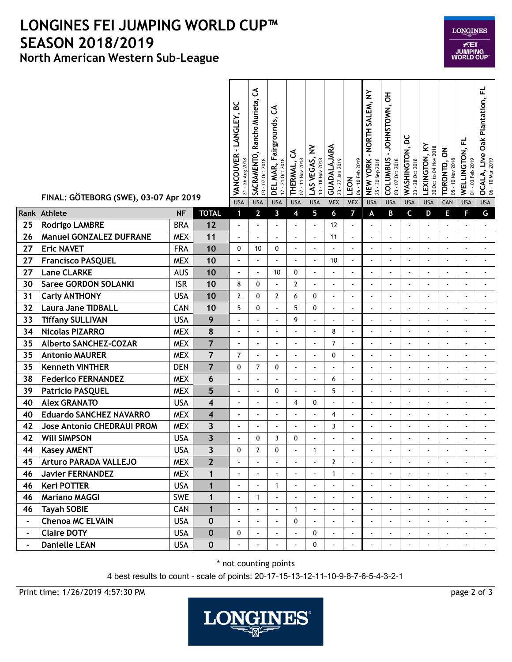## **North American Western Sub-League LONGINES FEI JUMPING WORLD CUP™ SEASON 2018/2019**

|                | FINAL: GÖTEBORG (SWE), 03-07 Apr 2019 |            |                         | - LANGLEY, BC<br>VANCOUVER<br>21 - 26 Aug 2018<br><b>USA</b> | ვ<br>Rancho Murieta,<br>SACRAMENTO,<br>03 - 07 Oct 2018<br><b>USA</b> | ვ<br>airgrounds,<br>L.<br>17 - 21 Oct 2018<br>DEL MAR,<br><b>USA</b> | ర<br>07 - 11 Nov 2018<br>THERMAL,<br><b>USA</b> | $\geq$<br>LAS VEGAS,<br>13 - 18 Nov 2018<br><b>USA</b> | GUADALAJARA<br>23 - 27 Jan 2019<br><b>MEX</b> | 06 - 10 Feb 2019<br>LEON<br><b>MEX</b> | NORTH SALEM, NY<br>25 - 30 Sep 2018<br><b>NEW YORK</b><br><b>USA</b> | JOHNSTOWN, OH<br>$\blacksquare$<br><b>COLUMBUS</b><br>03 - 07 Oct 2018<br><b>USA</b> | ă<br>WASHINGTON,<br>23 - 28 Oct 2018<br><b>USA</b> | LEXINGTON, KY<br>30 Oct to 04 Nov 2018<br><b>USA</b> | TORONTO, ON<br>05 - 10 Nov 2018<br>CAN | WELLINGTON, FL<br>$-03$ Feb 2019<br>$\overline{5}$<br><b>USA</b> | <b>OCALA, Live Oak Plantation, FL</b><br>06 - 10 Mar 2019<br><b>USA</b> |
|----------------|---------------------------------------|------------|-------------------------|--------------------------------------------------------------|-----------------------------------------------------------------------|----------------------------------------------------------------------|-------------------------------------------------|--------------------------------------------------------|-----------------------------------------------|----------------------------------------|----------------------------------------------------------------------|--------------------------------------------------------------------------------------|----------------------------------------------------|------------------------------------------------------|----------------------------------------|------------------------------------------------------------------|-------------------------------------------------------------------------|
| ank            | <b>Athlete</b>                        | <b>NF</b>  | <b>TOTAL</b>            | $\mathbf 1$                                                  | $\overline{2}$                                                        | 3                                                                    | 4                                               | 5                                                      | 6                                             | $\overline{7}$                         | A                                                                    | B                                                                                    | $\mathsf c$                                        | D                                                    | Е                                      | F                                                                | G                                                                       |
| 25             | <b>Rodrigo LAMBRE</b>                 | <b>BRA</b> | 12                      | ÷.                                                           | $\ddot{\phantom{0}}$                                                  | ÷,                                                                   | $\overline{\phantom{a}}$                        | $\overline{\phantom{a}}$                               | 12                                            | $\blacksquare$                         | ÷,                                                                   |                                                                                      |                                                    |                                                      |                                        |                                                                  |                                                                         |
| 26             | <b>Manuel GONZALEZ DUFRANE</b>        | <b>MEX</b> | 11                      | ä,                                                           | $\blacksquare$                                                        | $\overline{\phantom{a}}$                                             | ä,                                              | $\overline{\phantom{a}}$                               | 11                                            | $\mathbf{r}$                           | $\sim$                                                               | $\sim$                                                                               | $\blacksquare$                                     | $\sim$                                               |                                        |                                                                  |                                                                         |
| 27             | <b>Eric NAVET</b>                     | <b>FRA</b> | 10                      | 0                                                            | 10                                                                    | 0                                                                    | $\blacksquare$                                  | $\overline{a}$                                         | ä,                                            | $\blacksquare$                         | ÷,                                                                   | $\blacksquare$                                                                       | $\blacksquare$                                     | $\blacksquare$                                       | $\blacksquare$                         | ÷,                                                               | $\overline{a}$                                                          |
| 27             | <b>Francisco PASQUEL</b>              | <b>MEX</b> | 10                      | ä,                                                           |                                                                       |                                                                      |                                                 | ä,                                                     | 10                                            | $\blacksquare$                         |                                                                      | ÷,                                                                                   |                                                    | ÷,                                                   |                                        | $\tilde{\phantom{a}}$                                            | $\blacksquare$                                                          |
| 27             | <b>Lane CLARKE</b>                    | <b>AUS</b> | 10                      | $\overline{a}$                                               | $\overline{\phantom{a}}$                                              | 10                                                                   | 0                                               | $\overline{\phantom{a}}$                               | $\blacksquare$                                | $\sim$                                 | ÷.                                                                   | $\overline{a}$                                                                       | ÷.                                                 | $\sim$                                               | $\overline{a}$                         | $\blacksquare$                                                   | ä,                                                                      |
| 30             | <b>Saree GORDON SOLANKI</b>           | <b>ISR</b> | 10                      | 8                                                            | 0                                                                     | ä,                                                                   | $\overline{2}$                                  | ä,                                                     | $\overline{\phantom{a}}$                      | $\overline{\phantom{a}}$               |                                                                      | $\sim$                                                                               | ä,                                                 | L.                                                   |                                        | ÷,                                                               | $\overline{a}$                                                          |
| 31             | <b>Carly ANTHONY</b>                  | <b>USA</b> | 10                      | $\mathbf{2}$                                                 | $\mathbf{0}$                                                          | $\overline{2}$                                                       | 6                                               | 0                                                      | ä,                                            | $\blacksquare$                         |                                                                      | $\blacksquare$                                                                       | $\ddot{\phantom{0}}$                               | $\blacksquare$                                       | $\blacksquare$                         | $\blacksquare$                                                   | $\blacksquare$                                                          |
| 32             | <b>Laura Jane TIDBALL</b>             | CAN        | 10                      | 5                                                            | 0                                                                     |                                                                      | 5                                               | 0                                                      | ä,                                            | ÷,                                     |                                                                      |                                                                                      |                                                    | $\ddot{\phantom{a}}$                                 | $\ddot{\phantom{0}}$                   | $\blacksquare$                                                   |                                                                         |
| 33             | <b>Tiffany SULLIVAN</b>               | <b>USA</b> | 9                       | $\overline{\phantom{a}}$                                     | $\overline{\phantom{a}}$                                              | $\overline{\phantom{a}}$                                             | 9                                               | ä,                                                     | $\overline{\phantom{a}}$                      | $\mathbf{r}$                           | $\overline{\phantom{a}}$                                             | $\blacksquare$                                                                       |                                                    | ÷,                                                   |                                        | ä,                                                               | ä,                                                                      |
| 34             | <b>Nicolas PIZARRO</b>                | <b>MEX</b> | 8                       | $\blacksquare$                                               | $\blacksquare$                                                        | $\blacksquare$                                                       | $\blacksquare$                                  | $\blacksquare$                                         | 8                                             | $\blacksquare$                         |                                                                      | $\ddot{\phantom{a}}$                                                                 |                                                    | $\overline{\phantom{a}}$                             |                                        |                                                                  |                                                                         |
| 35             | <b>Alberto SANCHEZ-COZAR</b>          | <b>MEX</b> | $\overline{7}$          | $\overline{\phantom{a}}$                                     | ÷,                                                                    | ä,                                                                   | $\overline{\phantom{a}}$                        | $\blacksquare$                                         | $\overline{7}$                                | $\blacksquare$                         |                                                                      | ä,                                                                                   | $\blacksquare$                                     | $\sim$                                               | L,                                     | ä,                                                               | ä,                                                                      |
| 35             | <b>Antonio MAURER</b>                 | <b>MEX</b> | $\overline{7}$          | $\overline{7}$                                               | ä,                                                                    | ÷,                                                                   | $\overline{\phantom{a}}$                        | $\overline{a}$                                         | 0                                             | $\blacksquare$                         | $\sim$                                                               | $\blacksquare$                                                                       |                                                    | $\ddot{\phantom{a}}$                                 |                                        | ä,                                                               |                                                                         |
| 35             | <b>Kenneth VINTHER</b>                | <b>DEN</b> | $\overline{7}$          | 0                                                            | $\overline{7}$                                                        | 0                                                                    | $\sim$                                          | $\blacksquare$                                         | $\blacksquare$                                | $\sim$                                 | $\blacksquare$                                                       | $\sim$                                                                               | $\blacksquare$                                     | $\blacksquare$                                       | $\blacksquare$                         | ÷,                                                               | $\blacksquare$                                                          |
| 38             | <b>Federico FERNANDEZ</b>             | <b>MEX</b> | 6                       | $\blacksquare$                                               |                                                                       | $\blacksquare$                                                       | $\blacksquare$                                  | $\overline{a}$                                         | 6                                             | $\blacksquare$                         | $\sim$                                                               | $\sim$                                                                               | $\blacksquare$                                     | ÷,                                                   | ÷,                                     | ÷,                                                               | $\blacksquare$                                                          |
| 39             | <b>Patricio PASQUEL</b>               | <b>MEX</b> | 5                       | ä,                                                           | ä,                                                                    | 0                                                                    | L.                                              | ä,                                                     | 5                                             | $\blacksquare$                         |                                                                      | $\blacksquare$                                                                       |                                                    | $\overline{\phantom{a}}$                             |                                        | $\ddot{\phantom{a}}$                                             | $\blacksquare$                                                          |
| 40             | <b>Alex GRANATO</b>                   | <b>USA</b> | 4                       | $\ddot{\phantom{a}}$                                         | $\blacksquare$                                                        | $\overline{\phantom{a}}$                                             | 4                                               | 0                                                      | $\blacksquare$                                | $\blacksquare$                         |                                                                      | $\sim$                                                                               | ÷.                                                 | $\sim$                                               | L,                                     | ä,                                                               | $\ddot{\phantom{0}}$                                                    |
| 40             | <b>Eduardo SANCHEZ NAVARRO</b>        | <b>MEX</b> | $\overline{\mathbf{4}}$ | $\overline{a}$                                               | ä,                                                                    | $\blacksquare$                                                       | ä,                                              | $\overline{a}$                                         | 4                                             | $\blacksquare$                         | $\overline{\phantom{a}}$                                             | $\sim$                                                                               | ä,                                                 | $\overline{\phantom{a}}$                             | $\overline{\phantom{a}}$               | ÷,                                                               | $\blacksquare$                                                          |
| 42             | <b>Jose Antonio CHEDRAUI PROM</b>     | <b>MEX</b> | $\overline{\mathbf{3}}$ | $\blacksquare$                                               | $\blacksquare$                                                        | ä,                                                                   | L.                                              | ä,                                                     | 3                                             | $\blacksquare$                         | $\sim$                                                               | $\sim$                                                                               | $\sim$                                             | $\overline{\phantom{a}}$                             | $\sim$                                 | $\blacksquare$                                                   | ä,                                                                      |
| 42             | <b>WIll SIMPSON</b>                   | <b>USA</b> | $\overline{\mathbf{3}}$ | ÷,                                                           | 0                                                                     | 3                                                                    | 0                                               | $\blacksquare$                                         |                                               | $\blacksquare$                         |                                                                      |                                                                                      |                                                    |                                                      |                                        |                                                                  |                                                                         |
| 44             | <b>Kasey AMENT</b>                    | <b>USA</b> | $\overline{\mathbf{3}}$ | 0                                                            | $\overline{2}$                                                        | 0                                                                    |                                                 | $\mathbf{1}$                                           |                                               |                                        |                                                                      |                                                                                      |                                                    |                                                      |                                        |                                                                  |                                                                         |
| 45             | <b>Arturo PARADA VALLEJO</b>          | <b>MEX</b> | $\mathbf{2}$            | $\overline{a}$                                               |                                                                       | ÷,                                                                   | $\blacksquare$                                  | $\overline{a}$                                         | $\overline{2}$                                | $\blacksquare$                         | $\blacksquare$                                                       | $\blacksquare$                                                                       | ä,                                                 | ÷,                                                   | ÷,                                     | ÷,                                                               |                                                                         |
| 46             | <b>Javier FERNANDEZ</b>               | <b>MEX</b> | $\mathbf{1}$            | $\blacksquare$                                               |                                                                       |                                                                      |                                                 |                                                        | $\mathbf{1}$                                  | $\blacksquare$                         |                                                                      |                                                                                      |                                                    |                                                      |                                        |                                                                  | $\blacksquare$                                                          |
| 46             | <b>Keri POTTER</b>                    | <b>USA</b> | $\mathbf{1}$            | $\overline{a}$                                               | $\overline{a}$                                                        | $\mathbf{1}$                                                         | $\blacksquare$                                  | $\blacksquare$                                         |                                               | $\blacksquare$                         |                                                                      | $\blacksquare$                                                                       |                                                    | $\ddot{\phantom{0}}$                                 |                                        | $\blacksquare$                                                   | $\blacksquare$                                                          |
| 46             | <b>Mariano MAGGI</b>                  | <b>SWE</b> | $\mathbf{1}$            | $\blacksquare$                                               | $\mathbf{1}$                                                          | $\blacksquare$                                                       | $\blacksquare$                                  | $\blacksquare$                                         | $\blacksquare$                                | $\blacksquare$                         | $\mathbf{r}$                                                         | $\overline{\phantom{a}}$                                                             | $\overline{\phantom{a}}$                           | $\overline{\phantom{a}}$                             |                                        |                                                                  | $\blacksquare$                                                          |
| 46             | <b>Tayah SOBIE</b>                    | <b>CAN</b> | $\mathbf{1}$            | $\blacksquare$                                               | $\blacksquare$                                                        | $\blacksquare$                                                       | $\mathbf{1}$                                    | $\blacksquare$                                         | $\blacksquare$                                | $\blacksquare$                         | $\blacksquare$                                                       | $\blacksquare$                                                                       | $\blacksquare$                                     | $\blacksquare$                                       | $\blacksquare$                         | $\blacksquare$                                                   | $\blacksquare$                                                          |
| $\blacksquare$ | <b>Chenoa MC ELVAIN</b>               | <b>USA</b> | $\bf{0}$                | ÷.                                                           | $\omega$                                                              | $\overline{a}$                                                       | 0                                               | ä,                                                     | $\blacksquare$                                | $\blacksquare$                         | $\mathbf{r}$                                                         | $\mathbf{r}$                                                                         |                                                    | L.                                                   |                                        | $\mathbf{r}$                                                     | $\mathbf{r}$                                                            |
| $\blacksquare$ | <b>Claire DOTY</b>                    | <b>USA</b> | $\mathbf 0$             | 0                                                            | $\blacksquare$                                                        | $\blacksquare$                                                       | $\blacksquare$                                  | 0                                                      |                                               | $\sim$                                 |                                                                      | $\blacksquare$                                                                       |                                                    |                                                      |                                        |                                                                  | $\blacksquare$                                                          |
| $\sim$         | <b>Danielle LEAN</b>                  | <b>USA</b> | $\bf{0}$                | $\blacksquare$                                               | $\blacksquare$                                                        | $\blacksquare$                                                       | $\blacksquare$                                  | 0                                                      | $\blacksquare$                                | $\blacksquare$                         | $\blacksquare$                                                       | $\blacksquare$                                                                       | ä,                                                 | $\blacksquare$                                       | $\ddot{\phantom{a}}$                   | $\blacksquare$                                                   | $\sim$                                                                  |
|                |                                       |            |                         |                                                              |                                                                       |                                                                      |                                                 |                                                        |                                               |                                        |                                                                      |                                                                                      |                                                    |                                                      |                                        |                                                                  |                                                                         |

\* not counting points

4 best results to count - scale of points: 20-17-15-13-12-11-10-9-8-7-6-5-4-3-2-1

Print time: 1/26/2019 4:57:30 PM page 2 of 3

 $Rank$ 



06 - 10 Mar 2019

**LONGINES** 

**FEI**<br>JUMPING<br>WORLD CUP